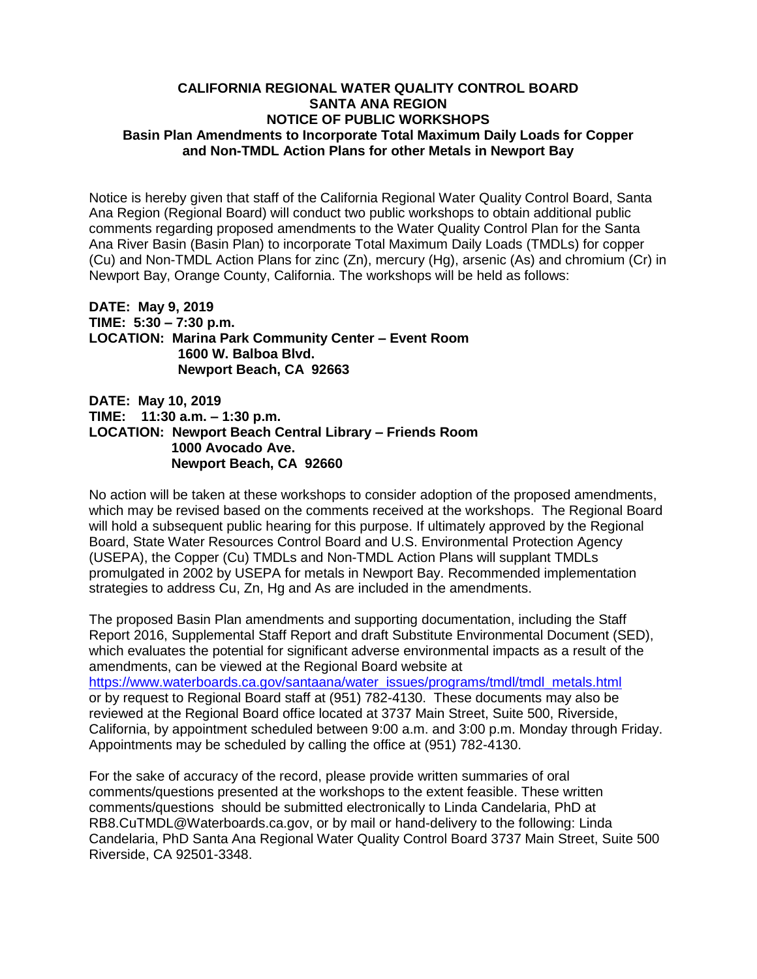## **CALIFORNIA REGIONAL WATER QUALITY CONTROL BOARD SANTA ANA REGION Basin Plan Amendments to Incorporate Total Maximum Daily Loads for Copper and Non-TMDL Action Plans for other Metals in Newport Bay NOTICE OF PUBLIC WORKSHOPS**

 Notice is hereby given that staff of the California Regional Water Quality Control Board, Santa Ana Region (Regional Board) will conduct two public workshops to obtain additional public comments regarding proposed amendments to the Water Quality Control Plan for the Santa Ana River Basin (Basin Plan) to incorporate Total Maximum Daily Loads (TMDLs) for copper (Cu) and Non-TMDL Action Plans for zinc (Zn), mercury (Hg), arsenic (As) and chromium (Cr) in Newport Bay, Orange County, California. The workshops will be held as follows:

**DATE: May 9, 2019 TIME: 5:30 – 7:30 p.m. LOCATION: Marina Park Community Center – Event Room 1600 W. Balboa Blvd. Newport Beach, CA 92663** 

**DATE: May 10, 2019 TIME: 11:30 a.m. – 1:30 p.m. LOCATION: Newport Beach Central Library – Friends Room 1000 Avocado Ave. Newport Beach, CA 92660** 

 No action will be taken at these workshops to consider adoption of the proposed amendments, which may be revised based on the comments received at the workshops. The Regional Board will hold a subsequent public hearing for this purpose. If ultimately approved by the Regional Board, State Water Resources Control Board and U.S. Environmental Protection Agency (USEPA), the Copper (Cu) TMDLs and Non-TMDL Action Plans will supplant TMDLs promulgated in 2002 by USEPA for metals in Newport Bay. Recommended implementation strategies to address Cu, Zn, Hg and As are included in the amendments.

The proposed Basin Plan amendments and supporting documentation, including the Staff Report 2016, Supplemental Staff Report and draft Substitute Environmental Document (SED), which evaluates the potential for significant adverse environmental impacts as a result of the amendments, can be viewed at the Regional Board website at https://www.waterboards.ca.gov/santaana/water\_issues/programs/tmdl/tmdl\_metals.html or by request to Regional Board staff at (951) 782-4130. These documents may also be reviewed at the Regional Board office located at 3737 Main Street, Suite 500, Riverside, California, by appointment scheduled between 9:00 a.m. and 3:00 p.m. Monday through Friday. Appointments may be scheduled by calling the office at (951) 782-4130.

For the sake of accuracy of the record, please provide written summaries of oral comments/questions presented at the workshops to the extent feasible. These written comments/questions should be submitted electronically to Linda Candelaria, PhD at RB8.CuTMDL@Waterboards.ca.gov, or by mail or hand-delivery to the following: Linda Candelaria, PhD Santa Ana Regional Water Quality Control Board 3737 Main Street, Suite 500 Riverside, CA 92501-3348.